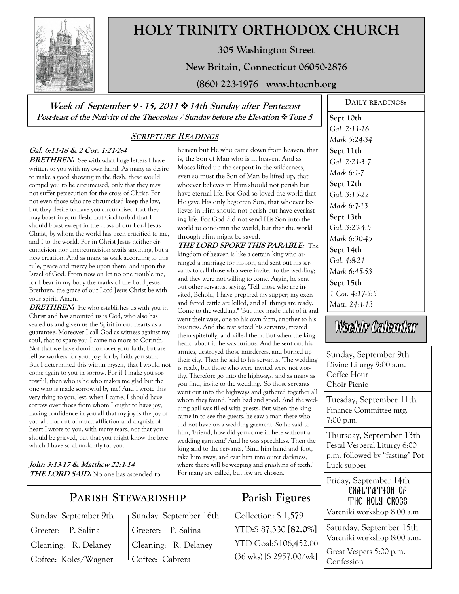

# **HOLY TRINITY ORTHODOX CHURCH**

**305 Washington Street** 

**New Britain, Connecticut 06050-2876** 

**(860) 223-1976 www.htocnb.org** 

**Week of September 9 - 15, 2011 14th Sunday after Pentecost Post-feast of the Nativity of the Theotokos / Sunday before the Elevation Tone 5**

#### **SCRIPTURE READINGS**

### **Gal. 6:11-18 & 2 Cor. 1:21-2:4**

**BRETHREN:** See with what large letters I have written to you with my own hand! As many as desire to make a good showing in the flesh, these would compel you to be circumcised, only that they may not suffer persecution for the cross of Christ. For not even those who are circumcised keep the law, but they desire to have you circumcised that they may boast in your flesh. But God forbid that I should boast except in the cross of our Lord Jesus Christ, by whom the world has been crucified to me, and I to the world. For in Christ Jesus neither circumcision nor uncircumcision avails anything, but a new creation. And as many as walk according to this rule, peace and mercy be upon them, and upon the Israel of God. From now on let no one trouble me, for I bear in my body the marks of the Lord Jesus. Brethren, the grace of our Lord Jesus Christ be with your spirit. Amen.

**BRETHREN:** He who establishes us with you in Christ and has anointed us is God, who also has sealed us and given us the Spirit in our hearts as a guarantee. Moreover I call God as witness against my soul, that to spare you I came no more to Corinth. Not that we have dominion over your faith, but are fellow workers for your joy; for by faith you stand. But I determined this within myself, that I would not come again to you in sorrow. For if I make you sorrowful, then who is he who makes me glad but the one who is made sorrowful by me? And I wrote this very thing to you, lest, when I came, I should have sorrow over those from whom I ought to have joy, having confidence in you all that my joy is the joy of you all. For out of much affliction and anguish of heart I wrote to you, with many tears, not that you should be grieved, but that you might know the love which I have so abundantly for you.

**John 3:13-17 & Matthew 22:1-14 THE LORD SAID:** No one has ascended to heaven but He who came down from heaven, that is, the Son of Man who is in heaven. And as Moses lifted up the serpent in the wilderness, even so must the Son of Man be lifted up, that whoever believes in Him should not perish but have eternal life. For God so loved the world that He gave His only begotten Son, that whoever believes in Him should not perish but have everlasting life. For God did not send His Son into the world to condemn the world, but that the world through Him might be saved.

**THE LORD SPOKE THIS PARABLE:** The kingdom of heaven is like a certain king who arranged a marriage for his son, and sent out his servants to call those who were invited to the wedding; and they were not willing to come. Again, he sent out other servants, saying, 'Tell those who are invited, Behold, I have prepared my supper; my oxen and fatted cattle are killed, and all things are ready. Come to the wedding." 'But they made light of it and went their ways, one to his own farm, another to his business. And the rest seized his servants, treated them spitefully, and killed them. But when the king heard about it, he was furious. And he sent out his armies, destroyed those murderers, and burned up their city. Then he said to his servants, 'The wedding is ready, but those who were invited were not worthy. Therefore go into the highways, and as many as you find, invite to the wedding.' So those servants went out into the highways and gathered together all whom they found, both bad and good. And the wedding hall was filled with guests. But when the king came in to see the guests, he saw a man there who did not have on a wedding garment. So he said to him, 'Friend, how did you come in here without a wedding garment?' And he was speechless. Then the king said to the servants, 'Bind him hand and foot, take him away, and cast him into outer darkness; where there will be weeping and gnashing of teeth.' For many are called, but few are chosen.

**Sept 10th**  *Gal. 2:11-16 Mark 5:24-34*  **Sept 11th**  *Gal. 2:21-3:7 Mark 6:1-7*  **Sept 12th**  *Gal. 3:15-22 Mark 6:7-13*  **Sept 13th**  *Gal. 3:23-4:5 Mark 6:30-45*  **Sept 14th**  *Gal. 4:8-21 Mark 6:45-53*  **Sept 15th**  *1 Cor. 4:17-5:5 Matt. 24:1-13* 

**DAILY READINGS:** 

Weekly Calendar

Sunday, September 9th Divine Liturgy 9:00 a.m. Coffee Hour Choir Picnic

Tuesday, September 11th Finance Committee mtg. 7:00 p.m.

Thursday, September 13th Festal Vesperal Liturgy 6:00 p.m. followed by "fasting" Pot Luck supper

Friday, September 14th EXALTATION OF THE HOLY CROSS

Collection: \$1,579 Vareniki workshop 8:00 a.m.

Saturday, September 15th Vareniki workshop 8:00 a.m.

Great Vespers 5:00 p.m. Confession

### **PARISH STEWARDSHIP**

Sunday September 9th Greeter: P. Salina Cleaning: R. Delaney Coffee: Koles/Wagner

Sunday September 16th Greeter: P. Salina Cleaning: R. Delaney Coffee: Cabrera

## **Parish Figures**

YTD:\$ 87,330 **[82.0%]** YTD Goal:\$106,452.00 (36 wks) [\$ 2957.00/wk]